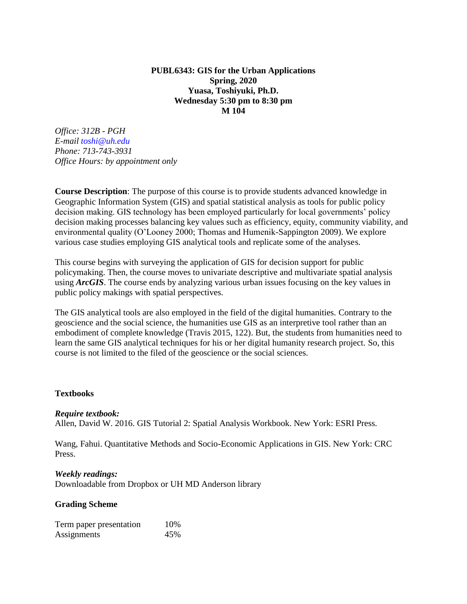## **PUBL6343: GIS for the Urban Applications Spring, 2020 Yuasa, Toshiyuki, Ph.D. Wednesday 5:30 pm to 8:30 pm M 104**

*Office: 312B - PGH E-mail toshi@uh.edu Phone: 713-743-3931 Office Hours: by appointment only*

**Course Description**: The purpose of this course is to provide students advanced knowledge in Geographic Information System (GIS) and spatial statistical analysis as tools for public policy decision making. GIS technology has been employed particularly for local governments' policy decision making processes balancing key values such as efficiency, equity, community viability, and environmental quality (O'Looney 2000; Thomas and Humenik-Sappington 2009). We explore various case studies employing GIS analytical tools and replicate some of the analyses.

This course begins with surveying the application of GIS for decision support for public policymaking. Then, the course moves to univariate descriptive and multivariate spatial analysis using *ArcGIS*. The course ends by analyzing various urban issues focusing on the key values in public policy makings with spatial perspectives.

The GIS analytical tools are also employed in the field of the digital humanities. Contrary to the geoscience and the social science, the humanities use GIS as an interpretive tool rather than an embodiment of complete knowledge (Travis 2015, 122). But, the students from humanities need to learn the same GIS analytical techniques for his or her digital humanity research project. So, this course is not limited to the filed of the geoscience or the social sciences.

#### **Textbooks**

#### *Require textbook:*

Allen, David W. 2016. GIS Tutorial 2: Spatial Analysis Workbook. New York: ESRI Press.

Wang, Fahui. Quantitative Methods and Socio-Economic Applications in GIS. New York: CRC Press.

#### *Weekly readings:*

Downloadable from Dropbox or UH MD Anderson library

#### **Grading Scheme**

Term paper presentation 10% Assignments 45%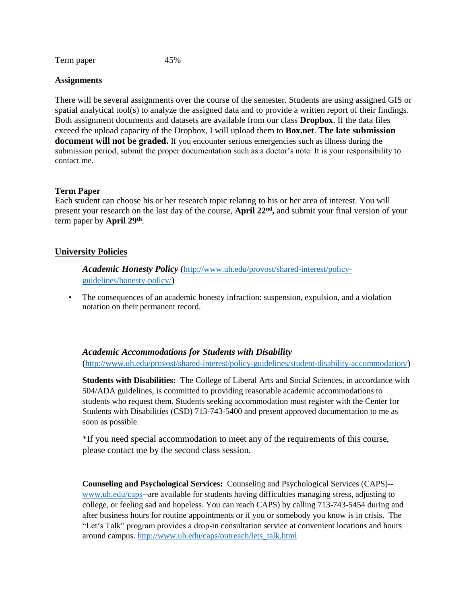Term paper 45%

#### **Assignments**

There will be several assignments over the course of the semester. Students are using assigned GIS or spatial analytical tool(s) to analyze the assigned data and to provide a written report of their findings. Both assignment documents and datasets are available from our class **Dropbox**. If the data files exceed the upload capacity of the Dropbox, I will upload them to **Box.net**. **The late submission document will not be graded.** If you encounter serious emergencies such as illness during the submission period, submit the proper documentation such as a doctor's note. It is your responsibility to contact me.

#### **Term Paper**

Each student can choose his or her research topic relating to his or her area of interest. You will present your research on the last day of the course, **April 22<sup>nd</sup>**, and submit your final version of your term paper by **April 29th** .

## **University Policies**

*Academic Honesty Policy* ([http://www.uh.edu/provost/shared-interest/policy](http://www.uh.edu/provost/shared-interest/policy-guidelines/honesty-policy/)[guidelines/honesty-policy/](http://www.uh.edu/provost/shared-interest/policy-guidelines/honesty-policy/))

• The consequences of an academic honesty infraction: suspension, expulsion, and a violation notation on their permanent record.

#### *Academic Accommodations for Students with Disability*

(<http://www.uh.edu/provost/shared-interest/policy-guidelines/student-disability-accommodation/>)

**Students with Disabilities:** The College of Liberal Arts and Social Sciences, in accordance with 504/ADA guidelines, is committed to providing reasonable academic accommodations to students who request them. Students seeking accommodation must register with the Center for Students with Disabilities (CSD) 713-743-5400 and present approved documentation to me as soon as possible.

\*If you need special accommodation to meet any of the requirements of this course, please contact me by the second class session.

**Counseling and Psychological Services:** Counseling and Psychological Services (CAPS)- [www.uh.edu/caps-](http://www.uh.edu/caps)-are available for students having difficulties managing stress, adjusting to college, or feeling sad and hopeless. You can reach CAPS) by calling 713-743-5454 during and after business hours for routine appointments or if you or somebody you know is in crisis. The "Let's Talk" program provides a drop-in consultation service at convenient locations and hours around campus. [http://www.uh.edu/caps/outreach/lets\\_talk.html](http://www.uh.edu/caps/outreach/lets_talk.html)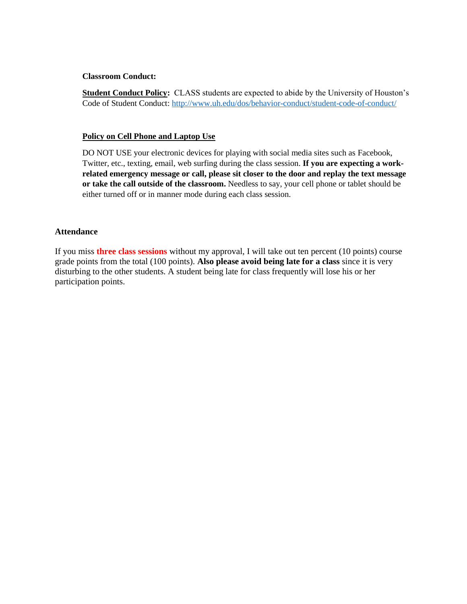#### **Classroom Conduct:**

**Student Conduct Policy:** CLASS students are expected to abide by the University of Houston's Code of Student Conduct:<http://www.uh.edu/dos/behavior-conduct/student-code-of-conduct/>

#### **Policy on Cell Phone and Laptop Use**

DO NOT USE your electronic devices for playing with social media sites such as Facebook, Twitter, etc., texting, email, web surfing during the class session. **If you are expecting a workrelated emergency message or call, please sit closer to the door and replay the text message or take the call outside of the classroom.** Needless to say, your cell phone or tablet should be either turned off or in manner mode during each class session.

#### **Attendance**

If you miss **three class sessions** without my approval, I will take out ten percent (10 points) course grade points from the total (100 points). **Also please avoid being late for a class** since it is very disturbing to the other students. A student being late for class frequently will lose his or her participation points.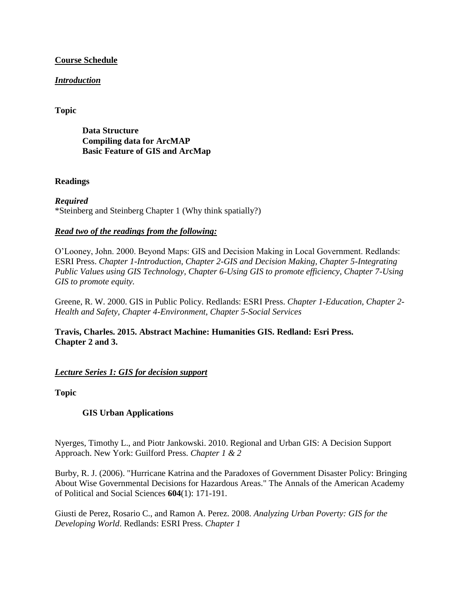## **Course Schedule**

# *Introduction*

# **Topic**

**Data Structure Compiling data for ArcMAP Basic Feature of GIS and ArcMap**

## **Readings**

*Required*  \*Steinberg and Steinberg Chapter 1 (Why think spatially?)

## *Read two of the readings from the following:*

O'Looney, John. 2000. Beyond Maps: GIS and Decision Making in Local Government. Redlands: ESRI Press. *Chapter 1-Introduction, Chapter 2-GIS and Decision Making, Chapter 5-Integrating Public Values using GIS Technology, Chapter 6-Using GIS to promote efficiency, Chapter 7-Using GIS to promote equity.* 

Greene, R. W. 2000. GIS in Public Policy. Redlands: ESRI Press. *Chapter 1-Education, Chapter 2- Health and Safety, Chapter 4-Environment, Chapter 5-Social Services* 

**Travis, Charles. 2015. Abstract Machine: Humanities GIS. Redland: Esri Press. Chapter 2 and 3.**

## *Lecture Series 1: GIS for decision support*

**Topic**

## **GIS Urban Applications**

Nyerges, Timothy L., and Piotr Jankowski. 2010. Regional and Urban GIS: A Decision Support Approach. New York: Guilford Press. *Chapter 1 & 2* 

Burby, R. J. (2006). "Hurricane Katrina and the Paradoxes of Government Disaster Policy: Bringing About Wise Governmental Decisions for Hazardous Areas." The Annals of the American Academy of Political and Social Sciences **604**(1): 171-191.

Giusti de Perez, Rosario C., and Ramon A. Perez. 2008. *Analyzing Urban Poverty: GIS for the Developing World*. Redlands: ESRI Press. *Chapter 1*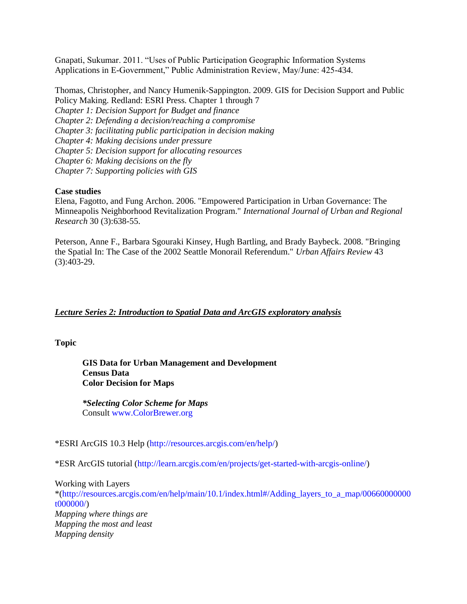Gnapati, Sukumar. 2011. "Uses of Public Participation Geographic Information Systems Applications in E-Government," Public Administration Review, May/June: 425-434.

Thomas, Christopher, and Nancy Humenik-Sappington. 2009. GIS for Decision Support and Public Policy Making. Redland: ESRI Press. Chapter 1 through 7 *Chapter 1: Decision Support for Budget and finance Chapter 2: Defending a decision/reaching a compromise Chapter 3: facilitating public participation in decision making Chapter 4: Making decisions under pressure Chapter 5: Decision support for allocating resources Chapter 6: Making decisions on the fly Chapter 7: Supporting policies with GIS* 

#### **Case studies**

Elena, Fagotto, and Fung Archon. 2006. "Empowered Participation in Urban Governance: The Minneapolis Neighborhood Revitalization Program." *International Journal of Urban and Regional Research* 30 (3):638-55.

Peterson, Anne F., Barbara Sgouraki Kinsey, Hugh Bartling, and Brady Baybeck. 2008. "Bringing the Spatial In: The Case of the 2002 Seattle Monorail Referendum." *Urban Affairs Review* 43 (3):403-29.

## *Lecture Series 2: Introduction to Spatial Data and ArcGIS exploratory analysis*

**Topic**

**GIS Data for Urban Management and Development Census Data Color Decision for Maps**

*\*Selecting Color Scheme for Maps*  Consult www.ColorBrewer.org

\*ESRI ArcGIS 10.3 Help (http://resources.arcgis.com/en/help/)

\*ESR ArcGIS tutorial (http://learn.arcgis.com/en/projects/get-started-with-arcgis-online/)

Working with Layers \*(http://resources.arcgis.com/en/help/main/10.1/index.html#/Adding\_layers\_to\_a\_map/00660000000 t000000/) *Mapping where things are Mapping the most and least Mapping density*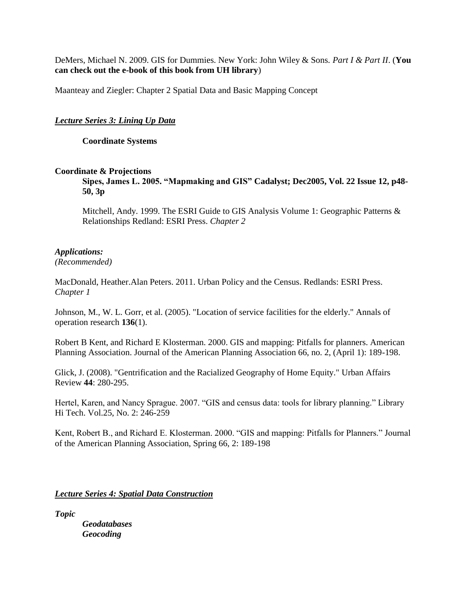DeMers, Michael N. 2009. GIS for Dummies. New York: John Wiley & Sons. *Part I & Part II*. (**You can check out the e-book of this book from UH library**)

Maanteay and Ziegler: Chapter 2 Spatial Data and Basic Mapping Concept

## *Lecture Series 3: Lining Up Data*

**Coordinate Systems**

#### **Coordinate & Projections**

**Sipes, James L. 2005. "Mapmaking and GIS" Cadalyst; Dec2005, Vol. 22 Issue 12, p48- 50, 3p** 

Mitchell, Andy. 1999. The ESRI Guide to GIS Analysis Volume 1: Geographic Patterns & Relationships Redland: ESRI Press. *Chapter 2* 

## *Applications:*

*(Recommended)* 

MacDonald, Heather.Alan Peters. 2011. Urban Policy and the Census. Redlands: ESRI Press. *Chapter 1* 

Johnson, M., W. L. Gorr, et al. (2005). "Location of service facilities for the elderly." Annals of operation research **136**(1).

Robert B Kent, and Richard E Klosterman. 2000. GIS and mapping: Pitfalls for planners. American Planning Association. Journal of the American Planning Association 66, no. 2, (April 1): 189-198.

Glick, J. (2008). "Gentrification and the Racialized Geography of Home Equity." Urban Affairs Review **44**: 280-295.

Hertel, Karen, and Nancy Sprague. 2007. "GIS and census data: tools for library planning." Library Hi Tech. Vol.25, No. 2: 246-259

Kent, Robert B., and Richard E. Klosterman. 2000. "GIS and mapping: Pitfalls for Planners." Journal of the American Planning Association, Spring 66, 2: 189-198

*Lecture Series 4: Spatial Data Construction* 

*Topic*

*Geodatabases Geocoding*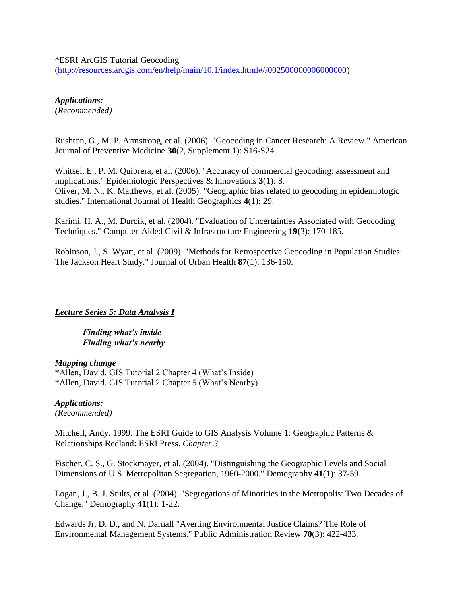#### \*ESRI ArcGIS Tutorial Geocoding

(http://resources.arcgis.com/en/help/main/10.1/index.html#//002500000006000000)

*Applications: (Recommended)* 

Rushton, G., M. P. Armstrong, et al. (2006). "Geocoding in Cancer Research: A Review." American Journal of Preventive Medicine **30**(2, Supplement 1): S16-S24.

Whitsel, E., P. M. Quibrera, et al. (2006). "Accuracy of commercial geocoding: assessment and implications." Epidemiologic Perspectives & Innovations **3**(1): 8. Oliver, M. N., K. Matthews, et al. (2005). "Geographic bias related to geocoding in epidemiologic studies." International Journal of Health Geographics **4**(1): 29.

Karimi, H. A., M. Durcik, et al. (2004). "Evaluation of Uncertainties Associated with Geocoding Techniques." Computer-Aided Civil & Infrastructure Engineering **19**(3): 170-185.

Robinson, J., S. Wyatt, et al. (2009). "Methods for Retrospective Geocoding in Population Studies: The Jackson Heart Study." Journal of Urban Health **87**(1): 136-150.

#### *Lecture Series 5: Data Analysis I*

*Finding what's inside Finding what's nearby* 

#### *Mapping change*

\*Allen, David. GIS Tutorial 2 Chapter 4 (What's Inside) \*Allen, David. GIS Tutorial 2 Chapter 5 (What's Nearby)

*Applications: (Recommended)* 

Mitchell, Andy. 1999. The ESRI Guide to GIS Analysis Volume 1: Geographic Patterns & Relationships Redland: ESRI Press. *Chapter 3* 

Fischer, C. S., G. Stockmayer, et al. (2004). "Distinguishing the Geographic Levels and Social Dimensions of U.S. Metropolitan Segregation, 1960-2000." Demography **41**(1): 37-59.

Logan, J., B. J. Stults, et al. (2004). "Segregations of Minorities in the Metropolis: Two Decades of Change." Demography **41**(1): 1-22.

Edwards Jr, D. D., and N. Darnall "Averting Environmental Justice Claims? The Role of Environmental Management Systems." Public Administration Review **70**(3): 422-433.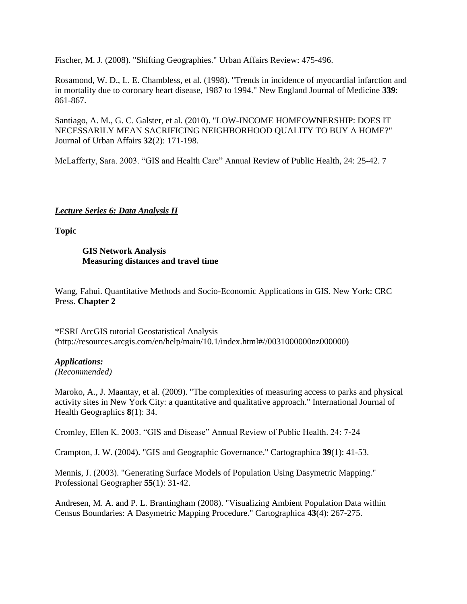Fischer, M. J. (2008). "Shifting Geographies." Urban Affairs Review: 475-496.

Rosamond, W. D., L. E. Chambless, et al. (1998). "Trends in incidence of myocardial infarction and in mortality due to coronary heart disease, 1987 to 1994." New England Journal of Medicine **339**: 861-867.

Santiago, A. M., G. C. Galster, et al. (2010). "LOW-INCOME HOMEOWNERSHIP: DOES IT NECESSARILY MEAN SACRIFICING NEIGHBORHOOD QUALITY TO BUY A HOME?" Journal of Urban Affairs **32**(2): 171-198.

McLafferty, Sara. 2003. "GIS and Health Care" Annual Review of Public Health, 24: 25-42. 7

# *Lecture Series 6: Data Analysis II*

**Topic**

## **GIS Network Analysis Measuring distances and travel time**

Wang, Fahui. Quantitative Methods and Socio-Economic Applications in GIS. New York: CRC Press. **Chapter 2**

\*ESRI ArcGIS tutorial Geostatistical Analysis (http://resources.arcgis.com/en/help/main/10.1/index.html#//0031000000nz000000)

# *Applications:*

*(Recommended)* 

Maroko, A., J. Maantay, et al. (2009). "The complexities of measuring access to parks and physical activity sites in New York City: a quantitative and qualitative approach." International Journal of Health Geographics **8**(1): 34.

Cromley, Ellen K. 2003. "GIS and Disease" Annual Review of Public Health. 24: 7-24

Crampton, J. W. (2004). "GIS and Geographic Governance." Cartographica **39**(1): 41-53.

Mennis, J. (2003). "Generating Surface Models of Population Using Dasymetric Mapping." Professional Geographer **55**(1): 31-42.

Andresen, M. A. and P. L. Brantingham (2008). "Visualizing Ambient Population Data within Census Boundaries: A Dasymetric Mapping Procedure." Cartographica **43**(4): 267-275.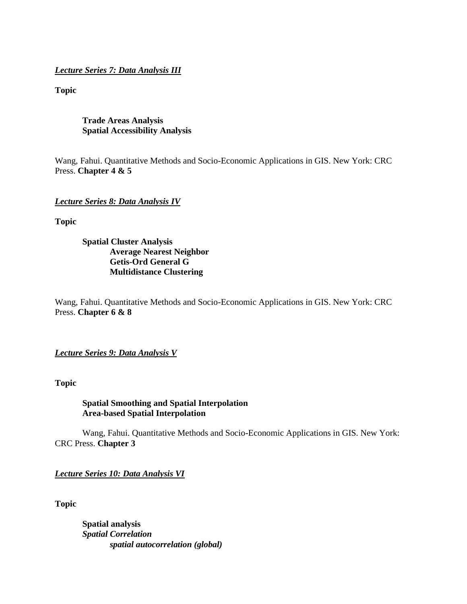*Lecture Series 7: Data Analysis III*

**Topic**

**Trade Areas Analysis Spatial Accessibility Analysis**

Wang, Fahui. Quantitative Methods and Socio-Economic Applications in GIS. New York: CRC Press. **Chapter 4 & 5**

*Lecture Series 8: Data Analysis IV*

**Topic** 

**Spatial Cluster Analysis Average Nearest Neighbor Getis-Ord General G Multidistance Clustering**

Wang, Fahui. Quantitative Methods and Socio-Economic Applications in GIS. New York: CRC Press. **Chapter 6 & 8**

*Lecture Series 9: Data Analysis V*

**Topic**

**Spatial Smoothing and Spatial Interpolation Area-based Spatial Interpolation**

Wang, Fahui. Quantitative Methods and Socio-Economic Applications in GIS. New York: CRC Press. **Chapter 3**

*Lecture Series 10: Data Analysis VI*

**Topic**

**Spatial analysis**  *Spatial Correlation spatial autocorrelation (global)*